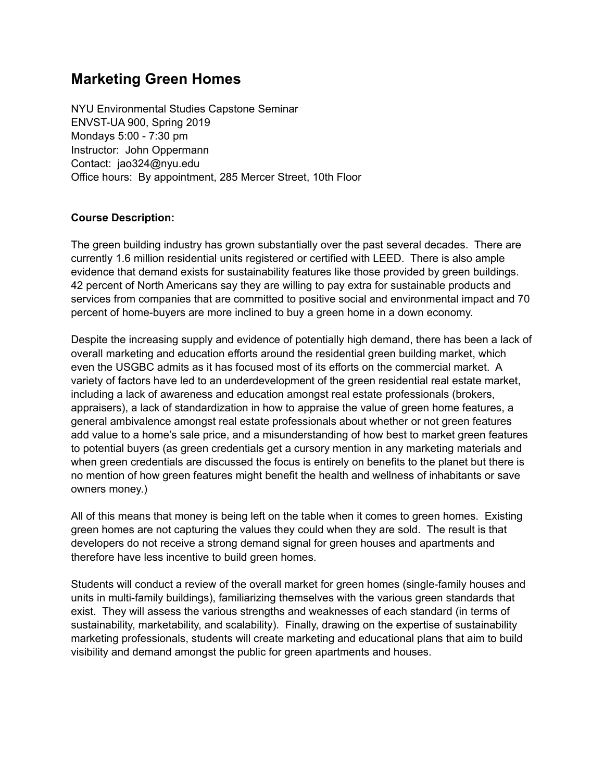# **Marketing Green Homes**

NYU Environmental Studies Capstone Seminar ENVST-UA 900, Spring 2019 Mondays 5:00 - 7:30 pm Instructor: John Oppermann Contact: jao324@nyu.edu Office hours: By appointment, 285 Mercer Street, 10th Floor

## **Course Description:**

The green building industry has grown substantially over the past several decades. There are currently 1.6 million residential units registered or certified with LEED. There is also ample evidence that demand exists for sustainability features like those provided by green buildings. 42 percent of North Americans say they are willing to pay extra for sustainable products and services from companies that are committed to positive social and environmental impact and 70 percent of home-buyers are more inclined to buy a green home in a down economy.

Despite the increasing supply and evidence of potentially high demand, there has been a lack of overall marketing and education efforts around the residential green building market, which even the USGBC admits as it has focused most of its efforts on the commercial market. A variety of factors have led to an underdevelopment of the green residential real estate market, including a lack of awareness and education amongst real estate professionals (brokers, appraisers), a lack of standardization in how to appraise the value of green home features, a general ambivalence amongst real estate professionals about whether or not green features add value to a home's sale price, and a misunderstanding of how best to market green features to potential buyers (as green credentials get a cursory mention in any marketing materials and when green credentials are discussed the focus is entirely on benefits to the planet but there is no mention of how green features might benefit the health and wellness of inhabitants or save owners money.)

All of this means that money is being left on the table when it comes to green homes. Existing green homes are not capturing the values they could when they are sold. The result is that developers do not receive a strong demand signal for green houses and apartments and therefore have less incentive to build green homes.

Students will conduct a review of the overall market for green homes (single-family houses and units in multi-family buildings), familiarizing themselves with the various green standards that exist. They will assess the various strengths and weaknesses of each standard (in terms of sustainability, marketability, and scalability). Finally, drawing on the expertise of sustainability marketing professionals, students will create marketing and educational plans that aim to build visibility and demand amongst the public for green apartments and houses.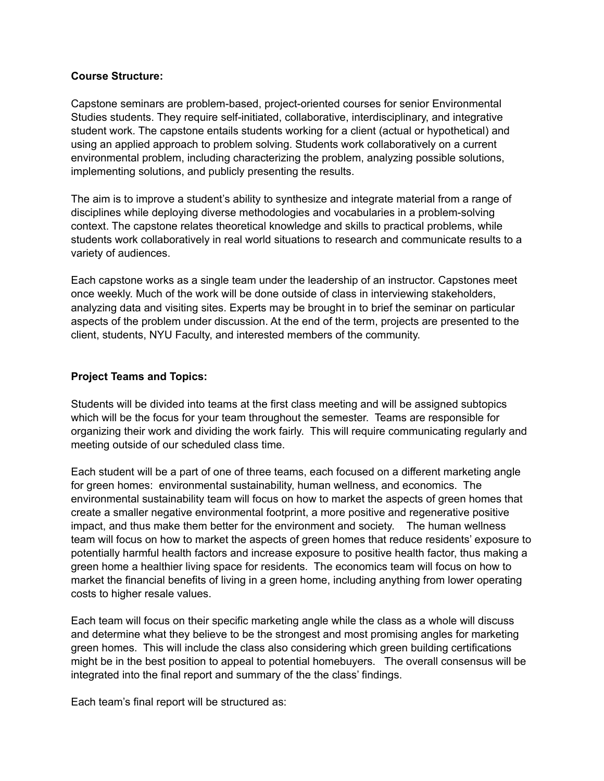#### **Course Structure:**

Capstone seminars are problem-based, project-oriented courses for senior Environmental Studies students. They require self-initiated, collaborative, interdisciplinary, and integrative student work. The capstone entails students working for a client (actual or hypothetical) and using an applied approach to problem solving. Students work collaboratively on a current environmental problem, including characterizing the problem, analyzing possible solutions, implementing solutions, and publicly presenting the results.

The aim is to improve a student's ability to synthesize and integrate material from a range of disciplines while deploying diverse methodologies and vocabularies in a problem-solving context. The capstone relates theoretical knowledge and skills to practical problems, while students work collaboratively in real world situations to research and communicate results to a variety of audiences.

Each capstone works as a single team under the leadership of an instructor. Capstones meet once weekly. Much of the work will be done outside of class in interviewing stakeholders, analyzing data and visiting sites. Experts may be brought in to brief the seminar on particular aspects of the problem under discussion. At the end of the term, projects are presented to the client, students, NYU Faculty, and interested members of the community.

#### **Project Teams and Topics:**

Students will be divided into teams at the first class meeting and will be assigned subtopics which will be the focus for your team throughout the semester. Teams are responsible for organizing their work and dividing the work fairly. This will require communicating regularly and meeting outside of our scheduled class time.

Each student will be a part of one of three teams, each focused on a different marketing angle for green homes: environmental sustainability, human wellness, and economics. The environmental sustainability team will focus on how to market the aspects of green homes that create a smaller negative environmental footprint, a more positive and regenerative positive impact, and thus make them better for the environment and society. The human wellness team will focus on how to market the aspects of green homes that reduce residents' exposure to potentially harmful health factors and increase exposure to positive health factor, thus making a green home a healthier living space for residents. The economics team will focus on how to market the financial benefits of living in a green home, including anything from lower operating costs to higher resale values.

Each team will focus on their specific marketing angle while the class as a whole will discuss and determine what they believe to be the strongest and most promising angles for marketing green homes. This will include the class also considering which green building certifications might be in the best position to appeal to potential homebuyers. The overall consensus will be integrated into the final report and summary of the the class' findings.

Each team's final report will be structured as: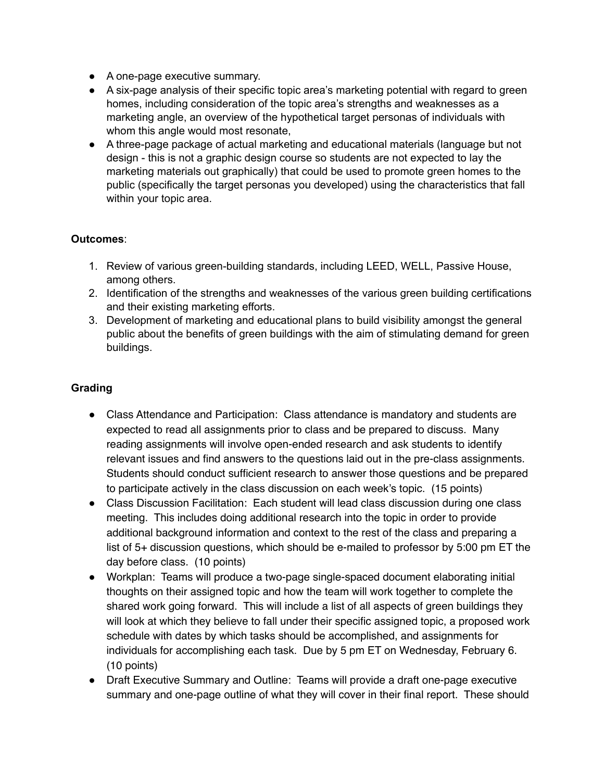- A one-page executive summary.
- A six-page analysis of their specific topic area's marketing potential with regard to green homes, including consideration of the topic area's strengths and weaknesses as a marketing angle, an overview of the hypothetical target personas of individuals with whom this angle would most resonate,
- A three-page package of actual marketing and educational materials (language but not design - this is not a graphic design course so students are not expected to lay the marketing materials out graphically) that could be used to promote green homes to the public (specifically the target personas you developed) using the characteristics that fall within your topic area.

# **Outcomes**:

- 1. Review of various green-building standards, including LEED, WELL, Passive House, among others.
- 2. Identification of the strengths and weaknesses of the various green building certifications and their existing marketing efforts.
- 3. Development of marketing and educational plans to build visibility amongst the general public about the benefits of green buildings with the aim of stimulating demand for green buildings.

# **Grading**

- Class Attendance and Participation: Class attendance is mandatory and students are expected to read all assignments prior to class and be prepared to discuss. Many reading assignments will involve open-ended research and ask students to identify relevant issues and find answers to the questions laid out in the pre-class assignments. Students should conduct sufficient research to answer those questions and be prepared to participate actively in the class discussion on each week's topic. (15 points)
- Class Discussion Facilitation: Each student will lead class discussion during one class meeting. This includes doing additional research into the topic in order to provide additional background information and context to the rest of the class and preparing a list of 5+ discussion questions, which should be e-mailed to professor by 5:00 pm ET the day before class. (10 points)
- Workplan: Teams will produce a two-page single-spaced document elaborating initial thoughts on their assigned topic and how the team will work together to complete the shared work going forward. This will include a list of all aspects of green buildings they will look at which they believe to fall under their specific assigned topic, a proposed work schedule with dates by which tasks should be accomplished, and assignments for individuals for accomplishing each task. Due by 5 pm ET on Wednesday, February 6. (10 points)
- Draft Executive Summary and Outline: Teams will provide a draft one-page executive summary and one-page outline of what they will cover in their final report. These should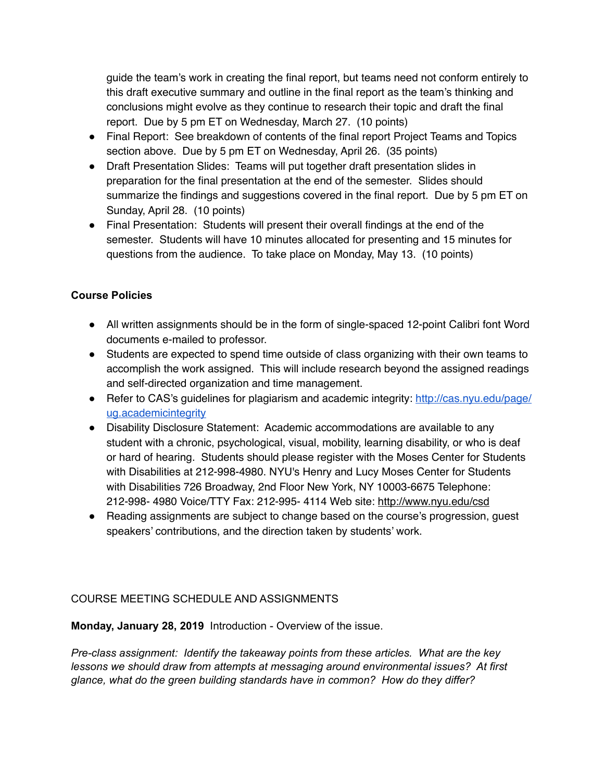guide the team's work in creating the final report, but teams need not conform entirely to this draft executive summary and outline in the final report as the team's thinking and conclusions might evolve as they continue to research their topic and draft the final report. Due by 5 pm ET on Wednesday, March 27. (10 points)

- Final Report: See breakdown of contents of the final report Project Teams and Topics section above. Due by 5 pm ET on Wednesday, April 26. (35 points)
- Draft Presentation Slides: Teams will put together draft presentation slides in preparation for the final presentation at the end of the semester. Slides should summarize the findings and suggestions covered in the final report. Due by 5 pm ET on Sunday, April 28. (10 points)
- Final Presentation: Students will present their overall findings at the end of the semester. Students will have 10 minutes allocated for presenting and 15 minutes for questions from the audience. To take place on Monday, May 13. (10 points)

# **Course Policies**

- All written assignments should be in the form of single-spaced 12-point Calibri font Word documents e-mailed to professor.
- Students are expected to spend time outside of class organizing with their own teams to accomplish the work assigned. This will include research beyond the assigned readings and self-directed organization and time management.
- Refer to CAS's guidelines for plagiarism and academic integrity: [http://cas.nyu.edu/page/](http://cas.nyu.edu/page/ug.academicintegrity) [ug.academicintegrity](http://cas.nyu.edu/page/ug.academicintegrity)
- Disability Disclosure Statement: Academic accommodations are available to any student with a chronic, psychological, visual, mobility, learning disability, or who is deaf or hard of hearing. Students should please register with the Moses Center for Students with Disabilities at 212-998-4980. NYU's Henry and Lucy Moses Center for Students with Disabilities 726 Broadway, 2nd Floor New York, NY 10003-6675 Telephone: 212-998- 4980 Voice/TTY Fax: 212-995- 4114 Web site[: http://www.nyu.edu/csd](http://www.nyu.edu/csd)
- Reading assignments are subject to change based on the course's progression, quest speakers' contributions, and the direction taken by students' work.

# COURSE MEETING SCHEDULE AND ASSIGNMENTS

**Monday, January 28, 2019** Introduction - Overview of the issue.

*Pre-class assignment: Identify the takeaway points from these articles. What are the key lessons we should draw from attempts at messaging around environmental issues? At first glance, what do the green building standards have in common? How do they differ?*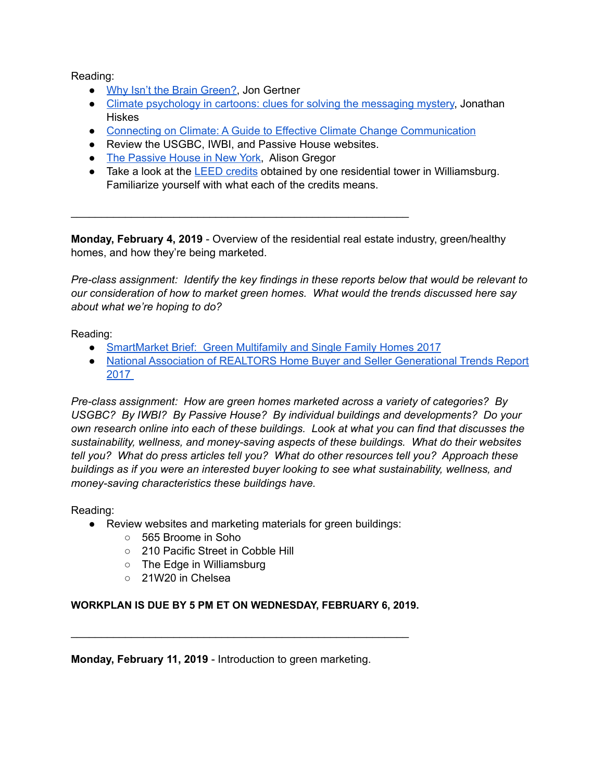Reading:

- [Why Isn't the Brain Green?](https://www.nytimes.com/2009/04/19/magazine/19Science-t.html), Jon Gertner
- [Climate psychology in cartoons: clues for solving the messaging mystery,](https://grist.org/article/2009-11-05-climate-psychology-in-cartoons-clues-for-solving-the-messaging/full/) Jonathan **Hiskes**
- [Connecting on Climate: A Guide to Effective Climate Change Communication](http://ecoamerica.org/wp-content/uploads/2014/12/ecoAmerica-CRED-2014-Connecting-on-Climate.pdf)
- Review the USGBC, IWBI, and Passive House websites.

\_\_\_\_\_\_\_\_\_\_\_\_\_\_\_\_\_\_\_\_\_\_\_\_\_\_\_\_\_\_\_\_\_\_\_\_\_\_\_\_\_\_\_\_\_\_\_\_\_\_\_\_\_\_\_\_

- [The Passive House in New York,](https://www.nytimes.com/2015/03/29/realestate/the-passive-house-in-new-york-city.html) Alison Gregor
- Take a look at the **LEED credits** obtained by one residential tower in Williamsburg. Familiarize yourself with what each of the credits means.

**Monday, February 4, 2019** - Overview of the residential real estate industry, green/healthy homes, and how they're being marketed.

*Pre-class assignment: Identify the key findings in these reports below that would be relevant to our consideration of how to market green homes. What would the trends discussed here say about what we're hoping to do?* 

Reading:

- [SmartMarket Brief: Green Multifamily and Single Family Homes 2017](https://www.sips.org/downloads/green_multifamily_and_sf_homes_2017_smartmarket_brief_fff.pdf)
- [National Association of REALTORS Home Buyer and Seller Generational Trends Report](https://www.nar.realtor/sites/default/files/reports/2017/2017-home-buyer-and-seller-generational-trends-03-07-2017.pdf)  [2017](https://www.nar.realtor/sites/default/files/reports/2017/2017-home-buyer-and-seller-generational-trends-03-07-2017.pdf)

*Pre-class assignment: How are green homes marketed across a variety of categories? By USGBC? By IWBI? By Passive House? By individual buildings and developments? Do your own research online into each of these buildings. Look at what you can find that discusses the sustainability, wellness, and money-saving aspects of these buildings. What do their websites tell you? What do press articles tell you? What do other resources tell you? Approach these buildings as if you were an interested buyer looking to see what sustainability, wellness, and money-saving characteristics these buildings have.* 

Reading:

- Review websites and marketing materials for green buildings:
	- 565 Broome in Soho
	- 210 Pacific Street in Cobble Hill
	- The Edge in Williamsburg
	- 21W20 in Chelsea

# **WORKPLAN IS DUE BY 5 PM ET ON WEDNESDAY, FEBRUARY 6, 2019.**

\_\_\_\_\_\_\_\_\_\_\_\_\_\_\_\_\_\_\_\_\_\_\_\_\_\_\_\_\_\_\_\_\_\_\_\_\_\_\_\_\_\_\_\_\_\_\_\_\_\_\_\_\_\_\_\_

**Monday, February 11, 2019** - Introduction to green marketing.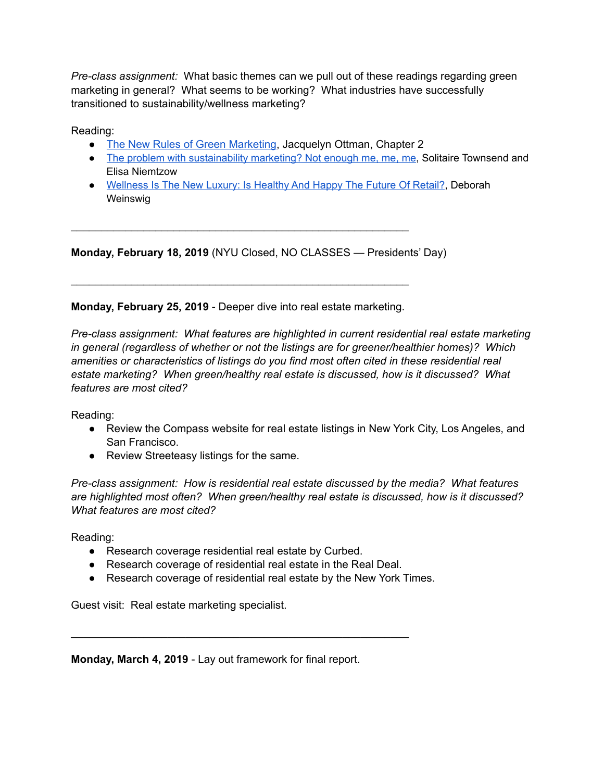*Pre-class assignment:* What basic themes can we pull out of these readings regarding green marketing in general? What seems to be working? What industries have successfully transitioned to sustainability/wellness marketing?

Reading:

- [The New Rules of Green Marketing](https://books.google.com/books/about/The_New_Rules_of_Green_Marketing.html?id=uIDO3Gr-4usC&printsec=frontcover&source=kp_read_button%23v=onepage&q&f=false), Jacquelyn Ottman, Chapter 2
- [The problem with sustainability marketing? Not enough me, me, me,](https://www.theguardian.com/sustainable-business/behavioural-insights/2015/mar/09/problem-sustainability-marketing-not-enough-me) Solitaire Townsend and Elisa Niemtzow
- [Wellness Is The New Luxury: Is Healthy And Happy The Future Of Retail?](https://www.forbes.com/sites/deborahweinswig/2017/06/30/wellness-is-the-new-luxury-is-healthy-and-happy-the-future-of-retail/%2350030a868323), Deborah Weinswig

**Monday, February 18, 2019** (NYU Closed, NO CLASSES — Presidents' Day)

**Monday, February 25, 2019** - Deeper dive into real estate marketing.

\_\_\_\_\_\_\_\_\_\_\_\_\_\_\_\_\_\_\_\_\_\_\_\_\_\_\_\_\_\_\_\_\_\_\_\_\_\_\_\_\_\_\_\_\_\_\_\_\_\_\_\_\_\_\_\_

\_\_\_\_\_\_\_\_\_\_\_\_\_\_\_\_\_\_\_\_\_\_\_\_\_\_\_\_\_\_\_\_\_\_\_\_\_\_\_\_\_\_\_\_\_\_\_\_\_\_\_\_\_\_\_\_

*Pre-class assignment: What features are highlighted in current residential real estate marketing in general (regardless of whether or not the listings are for greener/healthier homes)? Which amenities or characteristics of listings do you find most often cited in these residential real estate marketing? When green/healthy real estate is discussed, how is it discussed? What features are most cited?* 

Reading:

- Review the Compass website for real estate listings in New York City, Los Angeles, and San Francisco.
- Review Streeteasy listings for the same.

*Pre-class assignment: How is residential real estate discussed by the media? What features are highlighted most often? When green/healthy real estate is discussed, how is it discussed? What features are most cited?* 

Reading:

- Research coverage residential real estate by Curbed.
- Research coverage of residential real estate in the Real Deal.

\_\_\_\_\_\_\_\_\_\_\_\_\_\_\_\_\_\_\_\_\_\_\_\_\_\_\_\_\_\_\_\_\_\_\_\_\_\_\_\_\_\_\_\_\_\_\_\_\_\_\_\_\_\_\_\_

● Research coverage of residential real estate by the New York Times.

Guest visit: Real estate marketing specialist.

**Monday, March 4, 2019** - Lay out framework for final report.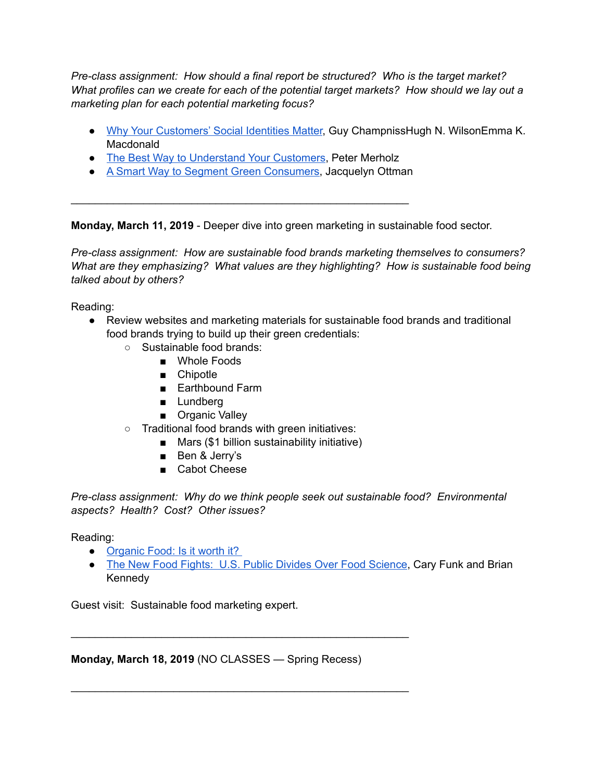*Pre-class assignment: How should a final report be structured? Who is the target market? What profiles can we create for each of the potential target markets? How should we lay out a marketing plan for each potential marketing focus?*

- [Why Your Customers' Social Identities Matter](https://hbr.org/2015/01/why-your-customers-social-identities-matter), Guy ChampnissHugh N. WilsonEmma K. Macdonald
- [The Best Way to Understand Your Customers](https://hbr.org/2009/03/the-best-way-to-understand-you), Peter Merholz

\_\_\_\_\_\_\_\_\_\_\_\_\_\_\_\_\_\_\_\_\_\_\_\_\_\_\_\_\_\_\_\_\_\_\_\_\_\_\_\_\_\_\_\_\_\_\_\_\_\_\_\_\_\_\_\_

● [A Smart Way to Segment Green Consumers](https://hbr.org/2010/02/a-smart-way-to-segment-green-c), Jacquelyn Ottman

**Monday, March 11, 2019** - Deeper dive into green marketing in sustainable food sector.

*Pre-class assignment: How are sustainable food brands marketing themselves to consumers? What are they emphasizing? What values are they highlighting? How is sustainable food being talked about by others?*

Reading:

- Review websites and marketing materials for sustainable food brands and traditional food brands trying to build up their green credentials:
	- Sustainable food brands:
		- Whole Foods
		- Chipotle
		- Earthbound Farm
		- Lundberg
		- Organic Valley
	- Traditional food brands with green initiatives:
		- Mars (\$1 billion sustainability initiative)
		- Ben & Jerry's
		- Cabot Cheese

*Pre-class assignment: Why do we think people seek out sustainable food? Environmental aspects? Health? Cost? Other issues?* 

Reading:

- Organic Food: Is it worth it?
- [The New Food Fights: U.S. Public Divides Over Food Science](http://www.pewinternet.org/wp-content/uploads/sites/9/2016/11/PS_2016.12.01_Food-Science_FINAL.pdf), Cary Funk and Brian Kennedy

Guest visit: Sustainable food marketing expert.

**Monday, March 18, 2019** (NO CLASSES — Spring Recess)

\_\_\_\_\_\_\_\_\_\_\_\_\_\_\_\_\_\_\_\_\_\_\_\_\_\_\_\_\_\_\_\_\_\_\_\_\_\_\_\_\_\_\_\_\_\_\_\_\_\_\_\_\_\_\_\_

\_\_\_\_\_\_\_\_\_\_\_\_\_\_\_\_\_\_\_\_\_\_\_\_\_\_\_\_\_\_\_\_\_\_\_\_\_\_\_\_\_\_\_\_\_\_\_\_\_\_\_\_\_\_\_\_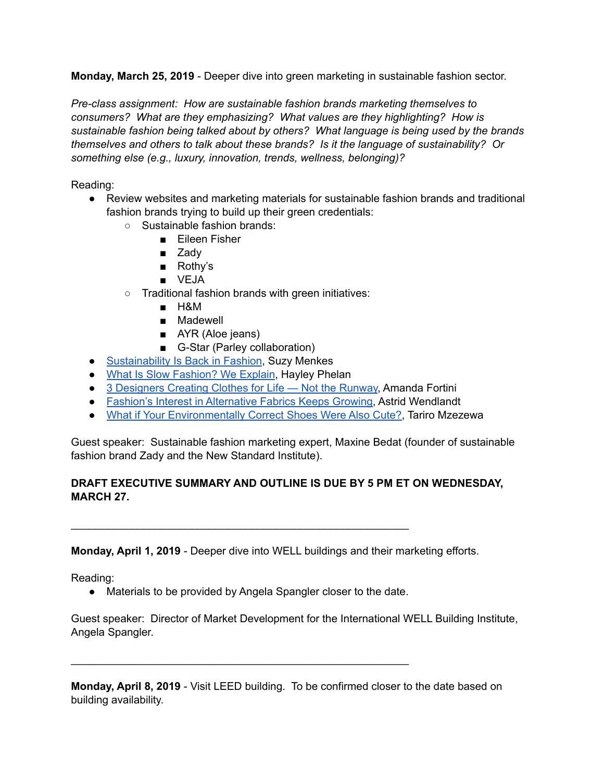**Monday, March 25, 2019** - Deeper dive into green marketing in sustainable fashion sector.

*Pre-class assignment: How are sustainable fashion brands marketing themselves to consumers? What are they emphasizing? What values are they highlighting? How is sustainable fashion being talked about by others? What language is being used by the brands themselves and others to talk about these brands? Is it the language of sustainability? Or something else (e.g., luxury, innovation, trends, wellness, belonging)?*

## Reading:

- Review websites and marketing materials for sustainable fashion brands and traditional fashion brands trying to build up their green credentials:
	- Sustainable fashion brands:
		- Eileen Fisher
		- Zady
		- Rothy's
		- VEJA
	- Traditional fashion brands with green initiatives:
		- H&M
		- Madewell
		- AYR (Aloe jeans)
		- G-Star (Parley collaboration)
- [Sustainability Is Back in Fashion,](https://www.nytimes.com/2009/03/25/fashion/25iht-rsustain.html) Suzy Menkes
- [What Is Slow Fashion? We Explain,](https://www.nytimes.com/2017/10/11/fashion/what-is-slow-fashion.html) Hayley Phelan
- [3 Designers Creating Clothes for Life Not the Runway,](https://www.nytimes.com/2017/11/15/t-magazine/slow-fashion-designers-casey-casey-egg-sofie-dhoore.html) Amanda Fortini
- [Fashion's Interest in Alternative Fabrics Keeps Growing](https://www.nytimes.com/2017/11/12/style/alternative-fabrics-sustainability-recycling.html), Astrid Wendlandt
- [What if Your Environmentally Correct Shoes Were Also Cute?](https://www.nytimes.com/2017/06/06/fashion/rothys-recycled-plastic-bottle-shoes.html?_r=0), Tariro Mzezewa

Guest speaker: Sustainable fashion marketing expert, Maxine Bedat (founder of sustainable fashion brand Zady and the New Standard Institute).

# **DRAFT EXECUTIVE SUMMARY AND OUTLINE IS DUE BY 5 PM ET ON WEDNESDAY, MARCH 27.**

**Monday, April 1, 2019** - Deeper dive into WELL buildings and their marketing efforts.

Reading:

● Materials to be provided by Angela Spangler closer to the date.

\_\_\_\_\_\_\_\_\_\_\_\_\_\_\_\_\_\_\_\_\_\_\_\_\_\_\_\_\_\_\_\_\_\_\_\_\_\_\_\_\_\_\_\_\_\_\_\_\_\_\_\_\_\_\_\_

\_\_\_\_\_\_\_\_\_\_\_\_\_\_\_\_\_\_\_\_\_\_\_\_\_\_\_\_\_\_\_\_\_\_\_\_\_\_\_\_\_\_\_\_\_\_\_\_\_\_\_\_\_\_\_\_

Guest speaker: Director of Market Development for the International WELL Building Institute, Angela Spangler.

**Monday, April 8, 2019** - Visit LEED building. To be confirmed closer to the date based on building availability.